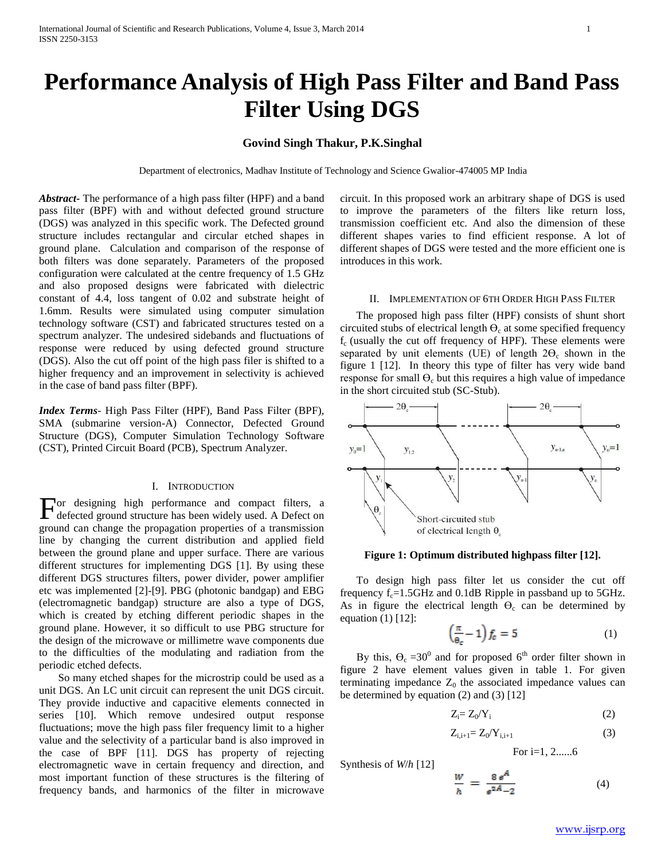# **Performance Analysis of High Pass Filter and Band Pass Filter Using DGS**

# **Govind Singh Thakur, P.K.Singhal**

Department of electronics, Madhav Institute of Technology and Science Gwalior-474005 MP India

*Abstract***-** The performance of a high pass filter (HPF) and a band pass filter (BPF) with and without defected ground structure (DGS) was analyzed in this specific work. The Defected ground structure includes rectangular and circular etched shapes in ground plane. Calculation and comparison of the response of both filters was done separately. Parameters of the proposed configuration were calculated at the centre frequency of 1.5 GHz and also proposed designs were fabricated with dielectric constant of 4.4, loss tangent of 0.02 and substrate height of 1.6mm. Results were simulated using computer simulation technology software (CST) and fabricated structures tested on a spectrum analyzer. The undesired sidebands and fluctuations of response were reduced by using defected ground structure (DGS). Also the cut off point of the high pass filer is shifted to a higher frequency and an improvement in selectivity is achieved in the case of band pass filter (BPF).

*Index Terms*- High Pass Filter (HPF), Band Pass Filter (BPF), SMA (submarine version-A) Connector, Defected Ground Structure (DGS), Computer Simulation Technology Software (CST), Printed Circuit Board (PCB), Spectrum Analyzer.

#### I. INTRODUCTION

For designing high performance and compact filters, a defected ground structure has been widely used. A Defect on defected ground structure has been widely used. A Defect on ground can change the propagation properties of a transmission line by changing the current distribution and applied field between the ground plane and upper surface. There are various different structures for implementing DGS [1]. By using these different DGS structures filters, power divider, power amplifier etc was implemented [2]-[9]. PBG (photonic bandgap) and EBG (electromagnetic bandgap) structure are also a type of DGS, which is created by etching different periodic shapes in the ground plane. However, it so difficult to use PBG structure for the design of the microwave or millimetre wave components due to the difficulties of the modulating and radiation from the periodic etched defects.

 So many etched shapes for the microstrip could be used as a unit DGS. An LC unit circuit can represent the unit DGS circuit. They provide inductive and capacitive elements connected in series [10]. Which remove undesired output response fluctuations; move the high pass filer frequency limit to a higher value and the selectivity of a particular band is also improved in the case of BPF [11]. DGS has property of rejecting electromagnetic wave in certain frequency and direction, and most important function of these structures is the filtering of frequency bands, and harmonics of the filter in microwave

circuit. In this proposed work an arbitrary shape of DGS is used to improve the parameters of the filters like return loss, transmission coefficient etc. And also the dimension of these different shapes varies to find efficient response. A lot of different shapes of DGS were tested and the more efficient one is introduces in this work.

### II. IMPLEMENTATION OF 6TH ORDER HIGH PASS FILTER

 The proposed high pass filter (HPF) consists of shunt short circuited stubs of electrical length  $\Theta_c$  at some specified frequency  $f_c$  (usually the cut off frequency of HPF). These elements were separated by unit elements (UE) of length  $2\Theta_c$  shown in the figure 1 [12]. In theory this type of filter has very wide band response for small  $\Theta_c$  but this requires a high value of impedance in the short circuited stub (SC-Stub).



#### **Figure 1: Optimum distributed highpass filter [12].**

 To design high pass filter let us consider the cut off frequency  $f_c = 1.5$ GHz and 0.1dB Ripple in passband up to  $5$ GHz. As in figure the electrical length  $\Theta_c$  can be determined by equation (1) [12]:

$$
\left(\frac{\pi}{\Theta_c} - 1\right) f_c = 5 \tag{1}
$$

By this,  $\theta_c = 30^\circ$  and for proposed 6<sup>th</sup> order filter shown in figure 2 have element values given in table 1. For given terminating impedance  $Z_0$  the associated impedance values can be determined by equation (2) and (3) [12]

Synthesis of *W*/*h* [12]

$$
Z_i = Z_0/Y_i \tag{2}
$$

$$
Z_{i,i+1} = Z_0/Y_{i,i+1}
$$
 (3)

For i=1, 2......6

$$
\frac{W}{A} = \frac{8 e^A}{34}
$$
 (4)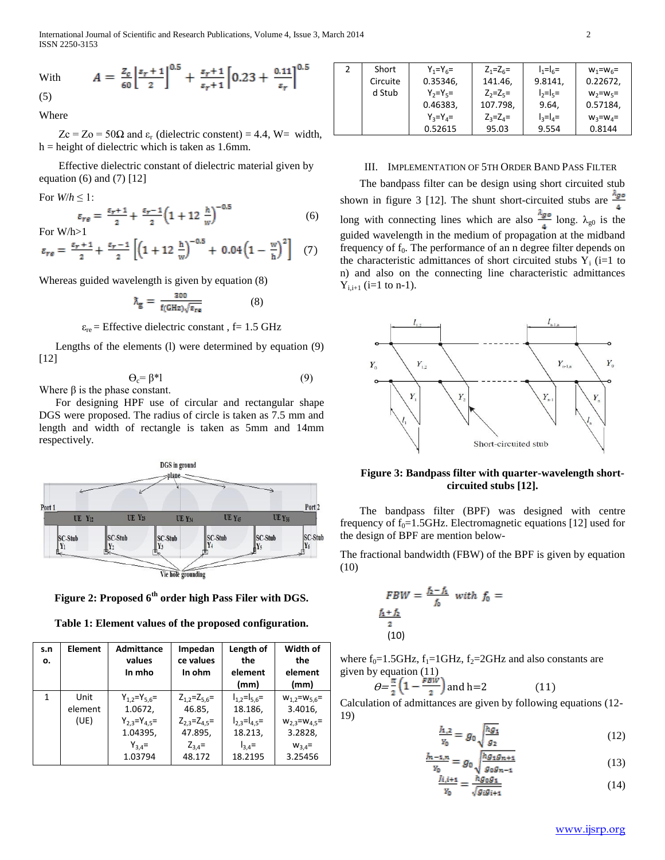International Journal of Scientific and Research Publications, Volume 4, Issue 3, March 2014 2 ISSN 2250-3153

With 
$$
A = \frac{z_c}{60} \left[ \frac{s_r + 1}{2} \right]^{0.5} + \frac{s_r + 1}{s_r + 1} \left[ 0.23 + \frac{0.11}{s_r} \right]^{0.5}
$$

(5)

Where

 $Z_c = Z_o = 50\Omega$  and  $\varepsilon_r$  (dielectric constent) = 4.4, W= width,  $h =$  height of dielectric which is taken as 1.6mm.

 Effective dielectric constant of dielectric material given by equation (6) and (7) [12]

For  $W/h \leq 1$ :

$$
\varepsilon_{r\varepsilon} = \frac{\varepsilon_{r+1}}{2} + \frac{\varepsilon_{r-1}}{2} \left( 1 + 12 \frac{h}{w} \right)^{-0.5}
$$
 (6) For W/h>1

$$
\varepsilon_{re} = \frac{\varepsilon_r + 1}{2} + \frac{\varepsilon_r - 1}{2} \left[ \left( 1 + 12 \frac{h}{w} \right)^{-0.5} + 0.04 \left( 1 - \frac{w}{h} \right)^2 \right] \tag{7}
$$

Whereas guided wavelength is given by equation (8)

$$
\lambda_{\rm g} = \frac{300}{f(\rm GHz)\sqrt{\epsilon_{\rm re}}} \tag{8}
$$

 $\varepsilon_{\text{re}}$  = Effective dielectric constant, f = 1.5 GHz

 Lengths of the elements (l) were determined by equation (9) [12]

$$
\Theta_{\rm c} = \beta^* l \tag{9}
$$

Where  $\beta$  is the phase constant.

 For designing HPF use of circular and rectangular shape DGS were proposed. The radius of circle is taken as 7.5 mm and length and width of rectangle is taken as 5mm and 14mm respectively.



**Figure 2: Proposed 6th order high Pass Filer with DGS.**

**Table 1: Element values of the proposed configuration.**

| s.n<br>о. | <b>Element</b>          | <b>Admittance</b><br>values                                                               | Impedan<br>ce values                                                                   | Length of<br>the                                                                            | Width of<br>the                                                                                |
|-----------|-------------------------|-------------------------------------------------------------------------------------------|----------------------------------------------------------------------------------------|---------------------------------------------------------------------------------------------|------------------------------------------------------------------------------------------------|
|           |                         | In mho                                                                                    | In ohm                                                                                 | element<br>(mm)                                                                             | element<br>(mm)                                                                                |
| 1         | Unit<br>element<br>(UE) | $Y_{1,2}=Y_{5,6}=$<br>1.0672,<br>$Y_{2,3}=Y_{4,5}=$<br>1.04395,<br>$Y_{3,4} =$<br>1.03794 | $Z_{1,2}=Z_{5,6}=$<br>46.85,<br>$Z_{2,3}=Z_{4,5}=$<br>47.895,<br>$Z_{3,4}$ =<br>48.172 | $I_{1,2}=I_{5,6}=$<br>18.186,<br>$I_{2.3} = I_{4.5} =$<br>18.213,<br>$I_{3,4}$ =<br>18.2195 | $W_{1,2} = W_{5,6} =$<br>3.4016,<br>$W_{2,3} = W_{4,5} =$<br>3.2828,<br>$W_{3,4}$ =<br>3.25456 |

| 2 | Short    | $Y_1 = Y_6 =$ | $Z_1 = Z_6 =$ | $I_1 = I_6 =$                                 | $W_1 = W_6 =$ |
|---|----------|---------------|---------------|-----------------------------------------------|---------------|
|   | Circuite | 0.35346,      | 141.46,       | 9.8141,                                       | 0.22672,      |
|   | d Stub   | $Y_2 = Y_5 =$ | $Z_2 = Z_5 =$ | $\vert \cdot \rangle = \vert \cdot \rangle =$ | $W_2 = W_5 =$ |
|   |          | 0.46383,      | 107.798,      | 9.64,                                         | 0.57184,      |
|   |          | $Y_3 = Y_4 =$ | $Z_2 = Z_4 =$ | $I_3 = I_4 =$                                 | $W_3 = W_4 =$ |
|   |          | 0.52615       | 95.03         | 9.554                                         | 0.8144        |

# III. IMPLEMENTATION OF 5TH ORDER BAND PASS FILTER

 The bandpass filter can be design using short circuited stub shown in figure 3 [12]. The shunt short-circuited stubs are  $\frac{Ago}{f}$ long with connecting lines which are also  $\frac{\lambda_{g0}}{4}$  long.  $\lambda_{g0}$  is the guided wavelength in the medium of propagation at the midband frequency of  $f_0$ . The performance of an n degree filter depends on the characteristic admittances of short circuited stubs  $Y_i$  (i=1 to n) and also on the connecting line characteristic admittances  $Y_{i,i+1}$  (i=1 to n-1).



# **Figure 3: Bandpass filter with quarter-wavelength shortcircuited stubs [12].**

 The bandpass filter (BPF) was designed with centre frequency of  $f_0$ =1.5GHz. Electromagnetic equations [12] used for the design of BPF are mention below-

The fractional bandwidth (FBW) of the BPF is given by equation (10)

$$
FBW = \frac{f_2 - f_1}{f_0} \text{ with } f_0 = \frac{f_1 + f_2}{2}
$$
  
(10)

where  $f_0=1.5\text{GHz}$ ,  $f_1=1\text{GHz}$ ,  $f_2=2\text{GHz}$  and also constants are given by equation (11)

$$
\theta = \frac{\pi}{2} \left( 1 - \frac{FBW}{2} \right) \text{ and } h = 2 \tag{11}
$$

Calculation of admittances are given by following equations (12- 19)

$$
\frac{h_{1,2}}{y_0} = g_0 \sqrt{\frac{hg_1}{g_2}} \tag{12}
$$

$$
\frac{J_{n-1,n}}{Y_0} = g_0 \sqrt{\frac{h g_1 g_{n+1}}{g_0 g_{n-1}}} \tag{13}
$$

$$
\frac{f(i,i+1)}{y_0} = \frac{ng_0g_1}{\sqrt{g_ig_{i+1}}}
$$
\n(14)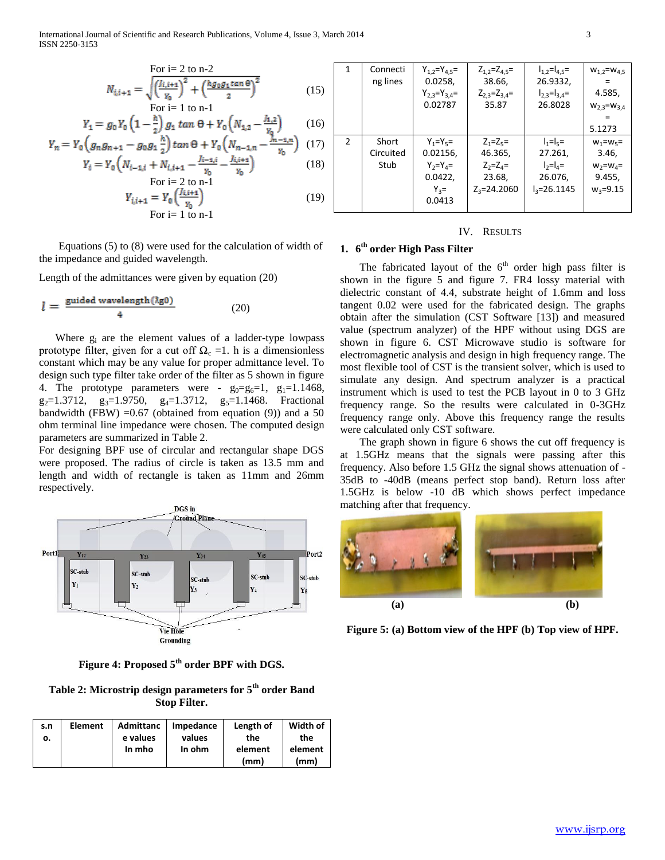International Journal of Scientific and Research Publications, Volume 4, Issue 3, March 2014 3 ISSN 2250-3153

$$
N_{i,i+1} = \sqrt{\left(\frac{l_{i,i+1}}{v_0}\right)^2 + \left(\frac{hg_0g_1 \tan \theta}{2}\right)^2}
$$
 (15)

$$
Y_1 = g_0 Y_0 \left( 1 - \frac{\hbar}{2} \right) g_1 \tan \theta + Y_0 \left( N_{1,2} - \frac{\hbar}{Y_0} \right) \tag{16}
$$

$$
Y_n = Y_0 \left( g_n g_{n+1} - g_0 g_1 \frac{n}{2} \right) \tan \Theta + Y_0 \left( N_{n-1,n} - \frac{m-1}{\gamma_0} \right) \tag{17}
$$
  

$$
Y_i = Y_0 \left( N_{i-1,i} + N_{i,i+1} - \frac{j_{i-1,i}}{\gamma_0} - \frac{j_{i,i+1}}{\gamma_0} \right) \tag{18}
$$

$$
r_i - r_0 \left( n_{i-1,i} + n_{i,i+1} - \frac{v_0}{v_0} - \frac{v_0}{v_0} \right)
$$
\nFor i = 2 to n-1

$$
Y_{i,i+1} = Y_0 \left( \frac{J_{i,i+1}}{Y_0} \right)
$$
  
For i = 1 to n-1 (19)

 Equations (5) to (8) were used for the calculation of width of the impedance and guided wavelength.

Length of the admittances were given by equation (20)

$$
l = \frac{\text{guided wavelength}(\lambda \text{g0})}{4} \tag{20}
$$

 Where g<sup>i</sup> are the element values of a ladder-type lowpass prototype filter, given for a cut off  $\Omega_c = 1$ . h is a dimensionless constant which may be any value for proper admittance level. To design such type filter take order of the filter as 5 shown in figure 4. The prototype parameters were -  $g_0 = g_6 = 1$ ,  $g_1 = 1.1468$ ,  $g_2=1.3712$ ,  $g_3=1.9750$ ,  $g_4=1.3712$ ,  $g_5=1.1468$ . Fractional bandwidth (FBW) = $0.67$  (obtained from equation (9)) and a 50 ohm terminal line impedance were chosen. The computed design parameters are summarized in Table 2.

For designing BPF use of circular and rectangular shape DGS were proposed. The radius of circle is taken as 13.5 mm and length and width of rectangle is taken as 11mm and 26mm respectively.



**Figure 4: Proposed 5th order BPF with DGS.**

**Table 2: Microstrip design parameters for 5th order Band Stop Filter.**

| s.n | Element | <b>Admittanc</b> | Impedance | Length of | Width of |
|-----|---------|------------------|-----------|-----------|----------|
| ο.  |         | e values         | values    | the       | the      |
|     |         | In mho           | In ohm    | element   | element  |
|     |         |                  |           | (mm)      | (mm)     |

| 1             | Connecti<br>ng lines       | $Y_{1,2}=Y_{4,5}=$<br>0.0258,<br>$Y_{2,3}=Y_{3,4}=$<br>0.02787             | $Z_{1,2} = Z_{4,5} =$<br>38.66,<br>$Z_{2,3}=Z_{3,4}=$<br>35.87         | $I_{1,2}=I_{4,5}=$<br>26.9332,<br>$I_{2,3}=I_{3,4}=$<br>26.8028                                       | $W_{1,2} = W_{4,5}$<br>4.585,<br>$W_{2,3} = W_{3,4}$<br>5.1273    |
|---------------|----------------------------|----------------------------------------------------------------------------|------------------------------------------------------------------------|-------------------------------------------------------------------------------------------------------|-------------------------------------------------------------------|
| $\mathcal{P}$ | Short<br>Circuited<br>Stub | $Y_1 = Y_5 =$<br>0.02156,<br>$Y_2 = Y_4 =$<br>0.0422,<br>$Y_3 =$<br>0.0413 | $Z_1 = Z_5 =$<br>46.365,<br>$Z_2 = Z_4 =$<br>23.68,<br>$Z_2 = 24.2060$ | $I_1 = I_5 =$<br>27.261,<br>$\vert \cdot \rangle = \vert \cdot \vert =$<br>26.076,<br>$I_3 = 26.1145$ | $W_1 = W_5 =$<br>3.46,<br>$W_2 = W_4 =$<br>9.455,<br>$W_3 = 9.15$ |

#### IV. RESULTS

# **1. 6 th order High Pass Filter**

The fabricated layout of the  $6<sup>th</sup>$  order high pass filter is shown in the figure 5 and figure 7. FR4 lossy material with dielectric constant of 4.4, substrate height of 1.6mm and loss tangent 0.02 were used for the fabricated design. The graphs obtain after the simulation (CST Software [13]) and measured value (spectrum analyzer) of the HPF without using DGS are shown in figure 6. CST Microwave studio is software for electromagnetic analysis and design in high frequency range. The most flexible tool of CST is the transient solver, which is used to simulate any design. And spectrum analyzer is a practical instrument which is used to test the PCB layout in 0 to 3 GHz frequency range. So the results were calculated in 0-3GHz frequency range only. Above this frequency range the results were calculated only CST software.

 The graph shown in figure 6 shows the cut off frequency is at 1.5GHz means that the signals were passing after this frequency. Also before 1.5 GHz the signal shows attenuation of - 35dB to -40dB (means perfect stop band). Return loss after 1.5GHz is below -10 dB which shows perfect impedance matching after that frequency.



**Figure 5: (a) Bottom view of the HPF (b) Top view of HPF.**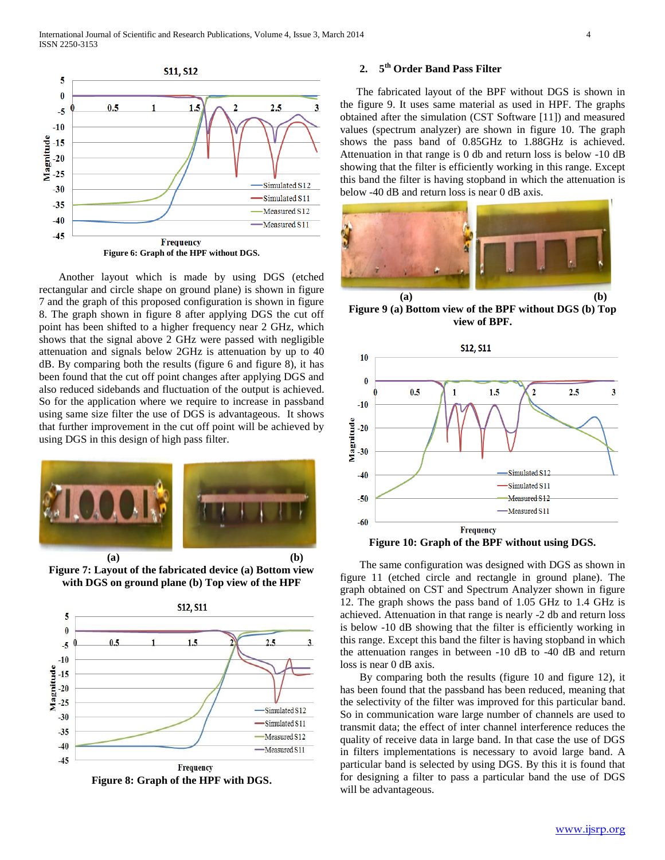

 Another layout which is made by using DGS (etched rectangular and circle shape on ground plane) is shown in figure 7 and the graph of this proposed configuration is shown in figure 8. The graph shown in figure 8 after applying DGS the cut off point has been shifted to a higher frequency near 2 GHz, which shows that the signal above 2 GHz were passed with negligible attenuation and signals below 2GHz is attenuation by up to 40 dB. By comparing both the results (figure 6 and figure 8), it has been found that the cut off point changes after applying DGS and also reduced sidebands and fluctuation of the output is achieved. So for the application where we require to increase in passband using same size filter the use of DGS is advantageous. It shows that further improvement in the cut off point will be achieved by using DGS in this design of high pass filter.



 **(a) (b) Figure 7: Layout of the fabricated device (a) Bottom view with DGS on ground plane (b) Top view of the HPF**



#### **2. 5 th Order Band Pass Filter**

 The fabricated layout of the BPF without DGS is shown in the figure 9. It uses same material as used in HPF. The graphs obtained after the simulation (CST Software [11]) and measured values (spectrum analyzer) are shown in figure 10. The graph shows the pass band of 0.85GHz to 1.88GHz is achieved. Attenuation in that range is 0 db and return loss is below -10 dB showing that the filter is efficiently working in this range. Except this band the filter is having stopband in which the attenuation is below -40 dB and return loss is near 0 dB axis.



**Figure 9 (a) Bottom view of the BPF without DGS (b) Top view of BPF.**



 The same configuration was designed with DGS as shown in figure 11 (etched circle and rectangle in ground plane). The graph obtained on CST and Spectrum Analyzer shown in figure 12. The graph shows the pass band of 1.05 GHz to 1.4 GHz is achieved. Attenuation in that range is nearly -2 db and return loss is below -10 dB showing that the filter is efficiently working in this range. Except this band the filter is having stopband in which the attenuation ranges in between -10 dB to -40 dB and return loss is near 0 dB axis.

 By comparing both the results (figure 10 and figure 12), it has been found that the passband has been reduced, meaning that the selectivity of the filter was improved for this particular band. So in communication ware large number of channels are used to transmit data; the effect of inter channel interference reduces the quality of receive data in large band. In that case the use of DGS in filters implementations is necessary to avoid large band. A particular band is selected by using DGS. By this it is found that for designing a filter to pass a particular band the use of DGS will be advantageous.